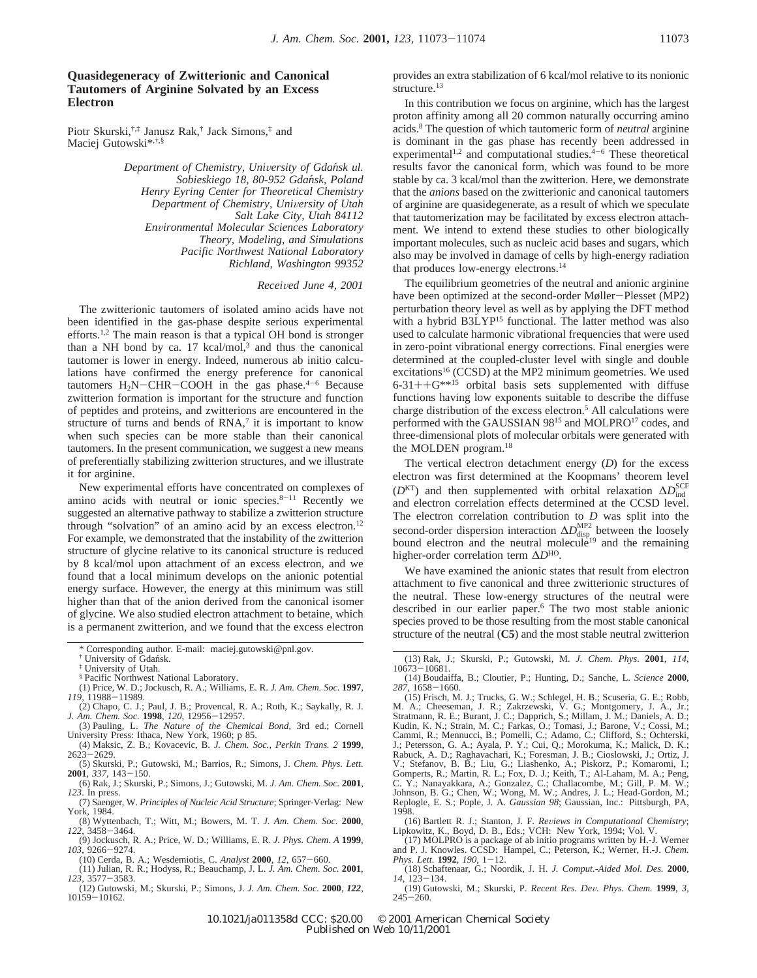## **Quasidegeneracy of Zwitterionic and Canonical Tautomers of Arginine Solvated by an Excess Electron**

Piotr Skurski,†,‡ Janusz Rak,† Jack Simons,‡ and Maciej Gutowski\*,†,§

> *Department of Chemistry, University of Gdańsk ul. Sobieskiego 18, 80-952 Gdan*´*sk, Poland Henry Eyring Center for Theoretical Chemistry Department of Chemistry, Uni*V*ersity of Utah Salt Lake City, Utah 84112 En*V*ironmental Molecular Sciences Laboratory Theory, Modeling, and Simulations Pacific Northwest National Laboratory Richland, Washington 99352*

> > *Recei*V*ed June 4, 2001*

The zwitterionic tautomers of isolated amino acids have not been identified in the gas-phase despite serious experimental efforts.1,2 The main reason is that a typical OH bond is stronger than a NH bond by ca.  $17 \text{ kcal/mol}^3$  and thus the canonical tautomer is lower in energy. Indeed, numerous ab initio calculations have confirmed the energy preference for canonical tautomers  $H_2N-CHR-COOH$  in the gas phase.<sup>4-6</sup> Because zwitterion formation is important for the structure and function of peptides and proteins, and zwitterions are encountered in the structure of turns and bends of  $RNA$ ,<sup> $7$ </sup> it is important to know when such species can be more stable than their canonical tautomers. In the present communication, we suggest a new means of preferentially stabilizing zwitterion structures, and we illustrate it for arginine.

New experimental efforts have concentrated on complexes of amino acids with neutral or ionic species. $8-11$  Recently we suggested an alternative pathway to stabilize a zwitterion structure through "solvation" of an amino acid by an excess electron.<sup>12</sup> For example, we demonstrated that the instability of the zwitterion structure of glycine relative to its canonical structure is reduced by 8 kcal/mol upon attachment of an excess electron, and we found that a local minimum develops on the anionic potential energy surface. However, the energy at this minimum was still higher than that of the anion derived from the canonical isomer of glycine. We also studied electron attachment to betaine, which is a permanent zwitterion, and we found that the excess electron

§ Pacific Northwest National Laboratory.

(1) Price, W. D.; Jockusch, R. A.; Williams, E. R. *J. Am. Chem. Soc.* **1997**, *<sup>119</sup>*, 11988-11989.

- (2) Chapo, C. J.; Paul, J. B.; Provencal, R. A.; Roth, K.; Saykally, R. J. *J. Am. Chem. Soc.* **<sup>1998</sup>**, *<sup>120</sup>*, 12956-12957.
- (3) Pauling, L. *The Nature of the Chemical Bond,* 3rd ed.; Cornell University Press: Ithaca, New York, 1960; p 85.
- (4) Maksic, Z. B.; Kovacevic, B. *J. Chem. Soc., Perkin Trans. 2* **1999**, <sup>2623</sup>-2629. (5) Skurski, P.; Gutowski, M.; Barrios, R.; Simons, J. *Chem. Phys. Lett.*
- **<sup>2001</sup>**, *<sup>337</sup>*, 143-150.
- (6) Rak, J.; Skurski, P.; Simons, J.; Gutowski, M. *J. Am. Chem. Soc.* **2001**, *123*. In press.
- (7) Saenger, W. *Principles of Nucleic Acid Structure*; Springer-Verlag: New York, 1984.
- (8) Wyttenbach, T.; Witt, M.; Bowers, M. T. *J. Am. Chem. Soc.* **2000**, *<sup>122</sup>*, 3458-3464.
- (9) Jockusch, R. A.; Price, W. D.; Williams, E. R. *J. Phys. Chem. A* **1999**, *<sup>103</sup>*, 9266-9274.
- (10) Cerda, B. A.; Wesdemiotis, C. *Analyst* **<sup>2000</sup>**, *<sup>12</sup>*, 657-660.
- (11) Julian, R. R.; Hodyss, R.; Beauchamp, J. L. *J. Am. Chem. Soc.* **<sup>2001</sup>**, *<sup>123</sup>*, 3577-3583.
- (12) Gutowski, M.; Skurski, P.; Simons, J. *J. Am. Chem. Soc.* **2000**, *122*, <sup>10159</sup>-10162.

provides an extra stabilization of 6 kcal/mol relative to its nonionic structure.<sup>13</sup>

In this contribution we focus on arginine, which has the largest proton affinity among all 20 common naturally occurring amino acids.8 The question of which tautomeric form of *neutral* arginine is dominant in the gas phase has recently been addressed in experimental<sup>1,2</sup> and computational studies. $4-6$  These theoretical results favor the canonical form, which was found to be more stable by ca. 3 kcal/mol than the zwitterion. Here, we demonstrate that the *anions* based on the zwitterionic and canonical tautomers of arginine are quasidegenerate, as a result of which we speculate that tautomerization may be facilitated by excess electron attachment. We intend to extend these studies to other biologically important molecules, such as nucleic acid bases and sugars, which also may be involved in damage of cells by high-energy radiation that produces low-energy electrons.<sup>14</sup>

The equilibrium geometries of the neutral and anionic arginine have been optimized at the second-order Møller-Plesset (MP2) perturbation theory level as well as by applying the DFT method with a hybrid B3LYP<sup>15</sup> functional. The latter method was also used to calculate harmonic vibrational frequencies that were used in zero-point vibrational energy corrections. Final energies were determined at the coupled-cluster level with single and double excitations<sup>16</sup> (CCSD) at the MP2 minimum geometries. We used  $6-31++G^{***15}$  orbital basis sets supplemented with diffuse functions having low exponents suitable to describe the diffuse charge distribution of the excess electron.5 All calculations were performed with the GAUSSIAN 98<sup>15</sup> and MOLPRO<sup>17</sup> codes, and three-dimensional plots of molecular orbitals were generated with the MOLDEN program.<sup>18</sup>

The vertical electron detachment energy (*D*) for the excess electron was first determined at the Koopmans' theorem level  $(D<sup>KT</sup>)$  and then supplemented with orbital relaxation  $\Delta D<sup>SCF</sup><sub>ind</sub>$ and electron correlation effects determined at the CCSD level. The electron correlation contribution to *D* was split into the second-order dispersion interaction  $ΔD<sup>MP2</sup><sub>disp</sub>$  between the loosely bound electron and the neutral molecule<sup>19</sup> and the remaining higher-order correlation term ∆*D*HO.

We have examined the anionic states that result from electron attachment to five canonical and three zwitterionic structures of the neutral. These low-energy structures of the neutral were described in our earlier paper.<sup>6</sup> The two most stable anionic species proved to be those resulting from the most stable canonical structure of the neutral (**C5**) and the most stable neutral zwitterion

(14) Boudaiffa, B.; Cloutier, P.; Hunting, D.; Sanche, L. *Science* **<sup>2000</sup>**, *<sup>287</sup>*, 1658-1660.

- (18) Schaftenaar, G.; Noordik, J. H. *J. Comput.-Aided Mol. Des.* **2000**, *<sup>14</sup>*, 123-134.
- (19) Gutowski, M.; Skurski, P. *Recent Res. De*V*. Phys. Chem.* **<sup>1999</sup>**, *<sup>3</sup>*,  $245 - 260$ .

Corresponding author. E-mail: maciej.gutowski@pnl.gov.

<sup>&</sup>lt;sup>†</sup> University of Gdańsk.

<sup>‡</sup> University of Utah.

<sup>(13)</sup> Rak, J.; Skurski, P.; Gutowski, M. *J. Chem. Phys*. **2001**, *114*, <sup>10673</sup>-10681.

<sup>(15)</sup> Frisch, M. J.; Trucks, G. W.; Schlegel, H. B.; Scuseria, G. E.; Robb, M. A.; Cheeseman, J. R.; Zakrzewski, V. G.; Montgomery, J. A., Jr.; Stratmann, R. E.; Burant, J. C.; Dapprich, S.; Millam, J. M.; Daniels, A. D.; Kudin, K. N.; Strain, M. C.; Farkas, O.; Tomasi, J.; Barone, V.; Cossi, M.; Cammi, R.; Mennucci, B.; Pomelli, C.; Adamo, C.; Clifford, S.; Ochterski, J.; Petersson, G. A.; Ayala, P. Y.; Cui, Q.; Morokuma, K.; Malick, D. K.; Rabuck, A. D.; Raghavachari, K.; Foresman, J. B.; Cioslowski, J.; Ortiz, J. V.; Stefanov, B. B.; Liu, G.; Liashenko, A.; Piskorz, P.; Komaromi, I.; Gomperts, R.; Martin, R. L.; Fox, D. J.; Keith, T.; Al-Laham, M. A.; Peng, C. Y.; Nanayakkara, A.; Gonzalez, C.; Challacombe, M.; Gill, P. M. W.; Johnson, B. G.; Chen, W.; Wong, M. W.; Andres, J. L.; Head-Gordon, M.; Replogle, E. S.; Pople, J. A. *Gaussian 98*; Gaussian, Inc.: Pittsburgh, PA, 1998.

<sup>(16)</sup> Bartlett R. J.; Stanton, J. F. *Reviews in Computational Chemistry*; Lipkowitz, K., Boyd, D. B., Eds.; VCH: New York, 1994; Vol. V.

<sup>(17)</sup> MOLPRO is a package of ab initio programs written by H.-J. Werner and P. J. Knowles. CCSD: Hampel, C.; Peterson, K.; Werner, H.-J. *Chem. Phys. Lett.* **<sup>1992</sup>**, *<sup>190</sup>*, 1-12.